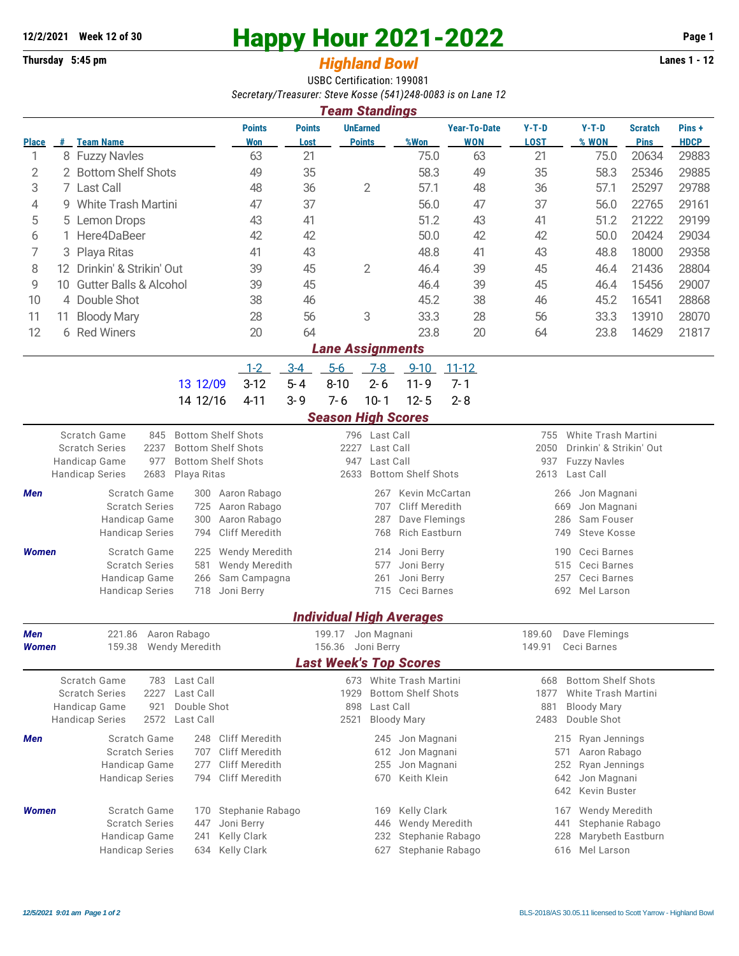## **12/2/2021** Week 12 of 30<br> **Happy Hour 2021-2022** Page 1<br> **Highland Rowl Lanes 1 - 12**<br>
Lanes 1 - 12

## **Thursday 5:45 pm** *Highland Bowl*

USBC Certification: 199081 *Secretary/Treasurer: Steve Kosse (541)248-0083 is on Lane 12*

| <b>Team Standings</b>         |                                 |                                                                     |                                                        |                       |                                         |                                             |                                   |                                                               |                                           |                               |                      |  |  |
|-------------------------------|---------------------------------|---------------------------------------------------------------------|--------------------------------------------------------|-----------------------|-----------------------------------------|---------------------------------------------|-----------------------------------|---------------------------------------------------------------|-------------------------------------------|-------------------------------|----------------------|--|--|
| <b>Place</b>                  |                                 | # Team Name                                                         | <b>Points</b><br>Won                                   | <b>Points</b><br>Lost | <b>UnEarned</b><br><b>Points</b>        | %Won                                        | <b>Year-To-Date</b><br><b>WON</b> | $Y-T-D$<br><b>LOST</b>                                        | $Y-T-D$<br>% WON                          | <b>Scratch</b><br><b>Pins</b> | Pins+<br><b>HDCP</b> |  |  |
| 1                             |                                 | 8 Fuzzy Navles                                                      | 63                                                     | 21                    |                                         | 75.0                                        | 63                                | 21                                                            | 75.0                                      | 20634                         | 29883                |  |  |
| 2                             |                                 | 2 Bottom Shelf Shots                                                | 49                                                     | 35                    |                                         | 58.3                                        | 49                                | 35                                                            | 58.3                                      | 25346                         | 29885                |  |  |
| 3                             |                                 | 7 Last Call                                                         | 48                                                     | 36                    | $\overline{2}$                          | 57.1                                        | 48                                | 36                                                            | 57.1                                      | 25297                         | 29788                |  |  |
| 4                             |                                 | 9 White Trash Martini                                               | 47                                                     | 37                    |                                         | 56.0                                        | 47                                | 37                                                            | 56.0                                      | 22765                         | 29161                |  |  |
| 5                             | 5                               | <b>Lemon Drops</b>                                                  | 43                                                     | 41                    |                                         | 51.2                                        | 43                                | 41                                                            | 51.2                                      | 21222                         | 29199                |  |  |
| 6                             |                                 | Here4DaBeer                                                         | 42                                                     | 42                    |                                         | 50.0                                        | 42                                | 42                                                            | 50.0                                      | 20424                         | 29034                |  |  |
| 7                             | Playa Ritas<br>3                |                                                                     | 41                                                     | 43                    |                                         | 48.8                                        | 41                                | 43                                                            | 48.8                                      | 18000                         | 29358                |  |  |
|                               | 8<br>12 Drinkin' & Strikin' Out |                                                                     |                                                        | 45                    | $\overline{2}$                          | 46.4                                        | 39                                | 45                                                            | 46.4                                      | 21436                         | 28804                |  |  |
|                               |                                 |                                                                     | 39                                                     |                       |                                         |                                             |                                   |                                                               |                                           |                               |                      |  |  |
| 9                             | 10                              | <b>Gutter Balls &amp; Alcohol</b>                                   | 39                                                     | 45                    |                                         | 46.4                                        | 39                                | 45                                                            | 46.4                                      | 15456                         | 29007                |  |  |
| 10                            |                                 | 4 Double Shot                                                       | 38                                                     | 46                    |                                         | 45.2                                        | 38                                | 46                                                            | 45.2                                      | 16541                         | 28868                |  |  |
| 11                            | 11                              | <b>Bloody Mary</b>                                                  | 28                                                     | 56                    | 3                                       | 33.3                                        | 28                                | 56                                                            | 33.3                                      | 13910                         | 28070                |  |  |
| 12                            |                                 | 6 Red Winers                                                        | 20                                                     | 64                    |                                         | 23.8                                        | 20                                | 64                                                            | 23.8                                      | 14629                         | 21817                |  |  |
| <b>Lane Assignments</b>       |                                 |                                                                     |                                                        |                       |                                         |                                             |                                   |                                                               |                                           |                               |                      |  |  |
|                               |                                 |                                                                     | $1 - 2$                                                | $3-4$                 | $5-6$                                   | $7-8$<br>$9 - 10$                           | $11 - 12$                         |                                                               |                                           |                               |                      |  |  |
|                               |                                 | 13 12/09                                                            | $3-12$                                                 | $5 - 4$               | $8 - 10$                                | $2 - 6$<br>$11 - 9$                         | $7 - 1$                           |                                                               |                                           |                               |                      |  |  |
|                               |                                 | 14 12/16                                                            | $4 - 11$                                               | $3 - 9$               | $7 - 6$                                 | $10 - 1$<br>$12 - 5$                        | $2 - 8$                           |                                                               |                                           |                               |                      |  |  |
|                               |                                 |                                                                     |                                                        |                       | <b>Season High Scores</b>               |                                             |                                   |                                                               |                                           |                               |                      |  |  |
|                               |                                 |                                                                     |                                                        |                       |                                         |                                             |                                   |                                                               |                                           |                               |                      |  |  |
|                               |                                 | Scratch Game<br>845<br>2237<br><b>Scratch Series</b>                | <b>Bottom Shelf Shots</b><br><b>Bottom Shelf Shots</b> |                       | 796 Last Call<br>2227<br>Last Call      |                                             |                                   | White Trash Martini<br>755<br>2050<br>Drinkin' & Strikin' Out |                                           |                               |                      |  |  |
|                               |                                 | Handicap Game<br>977                                                | <b>Bottom Shelf Shots</b>                              |                       | Last Call<br>947                        |                                             |                                   | 937<br><b>Fuzzy Navles</b>                                    |                                           |                               |                      |  |  |
|                               |                                 | <b>Handicap Series</b><br>2683<br>Playa Ritas                       |                                                        |                       | 2633                                    | <b>Bottom Shelf Shots</b>                   |                                   | 2613<br>Last Call                                             |                                           |                               |                      |  |  |
| Men                           |                                 | Scratch Game<br>300                                                 | Aaron Rabago                                           |                       |                                         | <b>Kevin McCartan</b><br>267                |                                   | Jon Magnani<br>266                                            |                                           |                               |                      |  |  |
|                               |                                 | <b>Scratch Series</b><br>725                                        | Aaron Rabago                                           |                       |                                         | Cliff Meredith<br>707                       |                                   | Jon Magnani<br>669                                            |                                           |                               |                      |  |  |
|                               |                                 | Handicap Game<br>300                                                | Aaron Rabago                                           |                       | 287<br>Dave Flemings                    |                                             |                                   | Sam Fouser<br>286                                             |                                           |                               |                      |  |  |
|                               |                                 | <b>Handicap Series</b><br>794                                       | <b>Cliff Meredith</b>                                  |                       | <b>Rich Eastburn</b><br>768             |                                             |                                   | 749                                                           | <b>Steve Kosse</b>                        |                               |                      |  |  |
| <b>Women</b>                  |                                 | Scratch Game<br>225                                                 | <b>Wendy Meredith</b>                                  |                       |                                         | Joni Berry<br>214                           |                                   | 190                                                           | Ceci Barnes                               |                               |                      |  |  |
|                               |                                 | <b>Scratch Series</b><br>581                                        | <b>Wendy Meredith</b>                                  |                       |                                         | Joni Berry<br>577                           |                                   |                                                               | Ceci Barnes<br>515                        |                               |                      |  |  |
|                               |                                 | Handicap Game<br>266                                                | Sam Campagna                                           |                       |                                         | 261<br>Joni Berry                           |                                   |                                                               | Ceci Barnes<br>257                        |                               |                      |  |  |
|                               |                                 | <b>Handicap Series</b><br>718                                       | Joni Berry                                             |                       |                                         | 715 Ceci Barnes                             |                                   | 692<br>Mel Larson                                             |                                           |                               |                      |  |  |
|                               |                                 |                                                                     |                                                        |                       |                                         |                                             |                                   |                                                               |                                           |                               |                      |  |  |
|                               |                                 |                                                                     |                                                        |                       |                                         | <b>Individual High Averages</b>             |                                   |                                                               |                                           |                               |                      |  |  |
| Men                           |                                 | 221.86 Aaron Rabago                                                 |                                                        |                       | 199.17 Jon Magnani<br>156.36 Joni Berry |                                             |                                   | 189.60 Dave Flemings                                          |                                           |                               |                      |  |  |
| Women                         |                                 | Wendy Meredith<br>159.38                                            |                                                        |                       |                                         |                                             | 149.91<br>Ceci Barnes             |                                                               |                                           |                               |                      |  |  |
| <b>Last Week's Top Scores</b> |                                 |                                                                     |                                                        |                       |                                         |                                             |                                   |                                                               |                                           |                               |                      |  |  |
|                               |                                 | Scratch Game<br>Last Call<br>783                                    |                                                        |                       |                                         | 673 White Trash Martini                     |                                   | 668                                                           | <b>Bottom Shelf Shots</b>                 |                               |                      |  |  |
|                               |                                 | <b>Scratch Series</b><br>2227<br>Last Call<br>Double Shot           |                                                        |                       | 1929<br>898                             | <b>Bottom Shelf Shots</b><br>Last Call      |                                   | 881                                                           | 1877<br>White Trash Martini               |                               |                      |  |  |
|                               |                                 | Handicap Game<br>921<br><b>Handicap Series</b><br>2572<br>Last Call |                                                        |                       | 2521                                    | <b>Bloody Mary</b>                          |                                   |                                                               | <b>Bloody Mary</b><br>Double Shot<br>2483 |                               |                      |  |  |
|                               |                                 |                                                                     |                                                        |                       |                                         |                                             |                                   |                                                               |                                           |                               |                      |  |  |
| Men                           |                                 | Scratch Game<br>248                                                 | Cliff Meredith                                         |                       |                                         | 245 Jon Magnani                             |                                   |                                                               | 215 Ryan Jennings                         |                               |                      |  |  |
|                               |                                 | <b>Scratch Series</b><br>707<br>Handicap Game<br>277                | <b>Cliff Meredith</b><br>Cliff Meredith                |                       |                                         | Jon Magnani<br>612<br>255                   |                                   | 571<br>252                                                    | Aaron Rabago<br>Ryan Jennings             |                               |                      |  |  |
|                               |                                 | <b>Handicap Series</b><br>794                                       | <b>Cliff Meredith</b>                                  |                       |                                         | 670                                         | Jon Magnani<br>Keith Klein        |                                                               | 642<br>Jon Magnani                        |                               |                      |  |  |
|                               |                                 |                                                                     |                                                        |                       |                                         |                                             |                                   | Kevin Buster<br>642                                           |                                           |                               |                      |  |  |
|                               |                                 |                                                                     |                                                        |                       |                                         |                                             |                                   |                                                               |                                           |                               |                      |  |  |
| <b>Women</b>                  |                                 | Scratch Game<br>170<br><b>Scratch Series</b><br>447                 | Stephanie Rabago<br>Joni Berry                         |                       |                                         | Kelly Clark<br>169<br>Wendy Meredith<br>446 |                                   | 167                                                           | Wendy Meredith                            |                               |                      |  |  |
|                               |                                 | Handicap Game<br>241                                                | Kelly Clark                                            |                       |                                         | 232                                         | Stephanie Rabago                  | Stephanie Rabago<br>441<br>Marybeth Eastburn<br>228           |                                           |                               |                      |  |  |
|                               |                                 | <b>Handicap Series</b><br>634                                       | Kelly Clark                                            |                       |                                         | 627                                         | Stephanie Rabago                  | Mel Larson<br>616                                             |                                           |                               |                      |  |  |
|                               |                                 |                                                                     |                                                        |                       |                                         |                                             |                                   |                                                               |                                           |                               |                      |  |  |